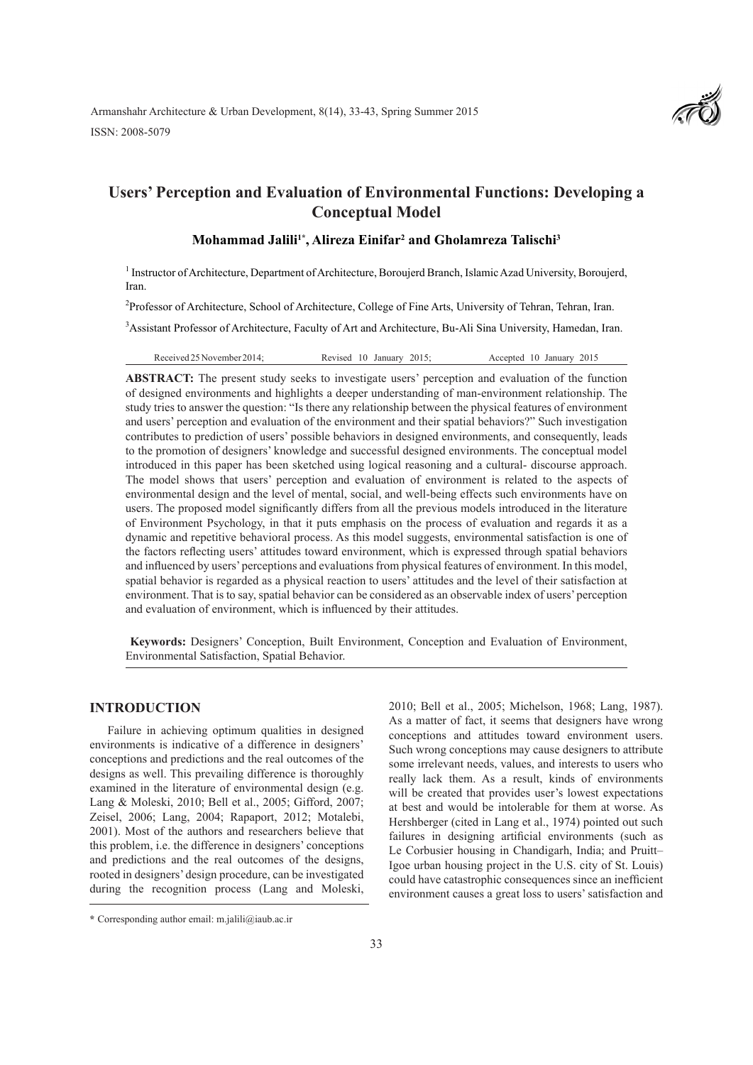Armanshahr Architecture & Urban Development, 8(14), 33-43, Spring Summer 2015 ISSN: 2008-5079



# **Users' Perception and Evaluation of Environmental Functions: Developing a Conceptual Model**

### **Mohammad Jalili1\*, Alireza Einifar2 and Gholamreza Talischi3**

<sup>1</sup> Instructor of Architecture, Department of Architecture, Boroujerd Branch, Islamic Azad University, Boroujerd, Iran.

<sup>2</sup>Professor of Architecture, School of Architecture, College of Fine Arts, University of Tehran, Tehran, Iran.

<sup>3</sup> Assistant Professor of Architecture, Faculty of Art and Architecture, Bu-Ali Sina University, Hamedan, Iran.

Received 25 November 2014; Revised 10 January 2015; Accepted 10 January 2015

**ABSTRACT:** The present study seeks to investigate users' perception and evaluation of the function of designed environments and highlights a deeper understanding of man-environment relationship. The study tries to answer the question: "Is there any relationship between the physical features of environment and users' perception and evaluation of the environment and their spatial behaviors?" Such investigation contributes to prediction of users' possible behaviors in designed environments, and consequently, leads to the promotion of designers' knowledge and successful designed environments. The conceptual model introduced in this paper has been sketched using logical reasoning and a cultural- discourse approach. The model shows that users' perception and evaluation of environment is related to the aspects of environmental design and the level of mental, social, and well-being effects such environments have on users. The proposed model significantly differs from all the previous models introduced in the literature of Environment Psychology, in that it puts emphasis on the process of evaluation and regards it as a dynamic and repetitive behavioral process. As this model suggests, environmental satisfaction is one of the factors reflecting users' attitudes toward environment, which is expressed through spatial behaviors and influenced by users' perceptions and evaluations from physical features of environment. In this model, spatial behavior is regarded as a physical reaction to users' attitudes and the level of their satisfaction at environment. That is to say, spatial behavior can be considered as an observable index of users' perception and evaluation of environment, which is influenced by their attitudes.

 **Keywords:** Designers' Conception, Built Environment, Conception and Evaluation of Environment, Environmental Satisfaction, Spatial Behavior.

### **INTRODUCTION**

Failure in achieving optimum qualities in designed environments is indicative of a difference in designers' conceptions and predictions and the real outcomes of the designs as well. This prevailing difference is thoroughly examined in the literature of environmental design (e.g. Lang & Moleski, 2010; Bell et al., 2005; Gifford, 2007; Zeisel, 2006; Lang, 2004; Rapaport, 2012; Motalebi, 2001). Most of the authors and researchers believe that this problem, i.e. the difference in designers' conceptions and predictions and the real outcomes of the designs, rooted in designers' design procedure, can be investigated during the recognition process (Lang and Moleski,

2010; Bell et al., 2005; Michelson, 1968; Lang, 1987). As a matter of fact, it seems that designers have wrong conceptions and attitudes toward environment users. Such wrong conceptions may cause designers to attribute some irrelevant needs, values, and interests to users who really lack them. As a result, kinds of environments will be created that provides user's lowest expectations at best and would be intolerable for them at worse. As Hershberger (cited in Lang et al., 1974) pointed out such failures in designing artificial environments (such as Le Corbusier housing in Chandigarh, India; and Pruitt– Igoe urban housing project in the U.S. city of St. Louis) could have catastrophic consequences since an inefficient environment causes a great loss to users' satisfaction and

**<sup>\*</sup>** Corresponding author email: m.jalili@iaub.ac.ir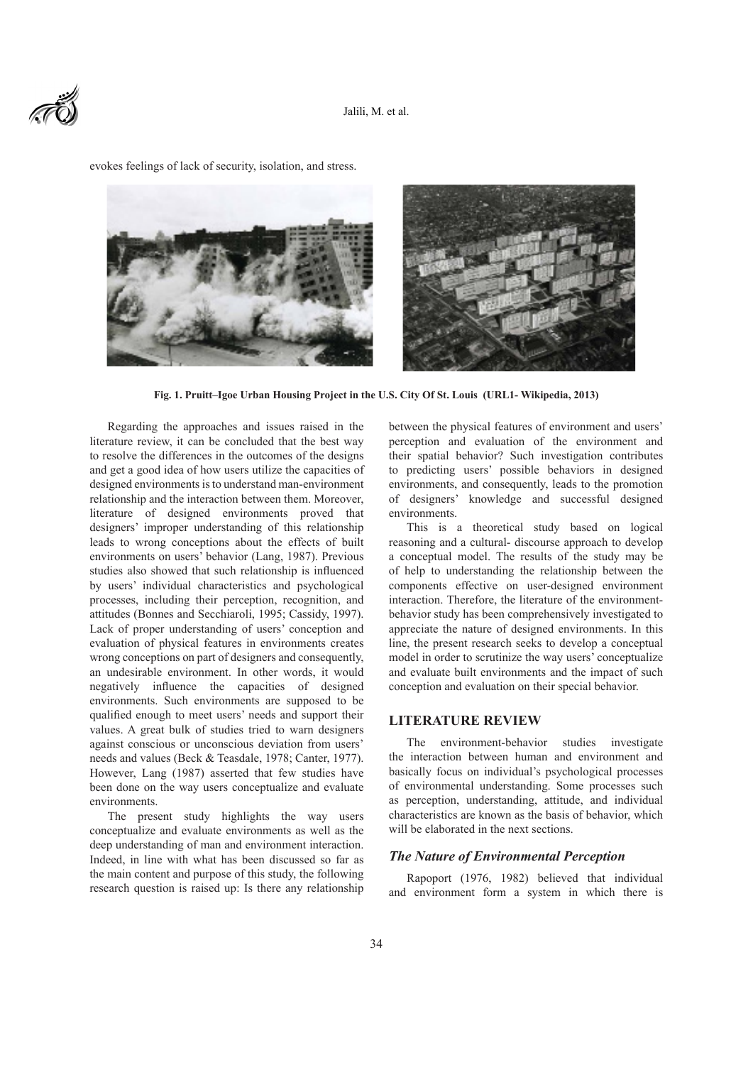



evokes feelings of lack of security, isolation, and stress.

**Fig. 1. Pruitt–Igoe Urban Housing Project in the U.S. City Of St. Louis (URL1- Wikipedia, 2013)**

Regarding the approaches and issues raised in the literature review, it can be concluded that the best way to resolve the differences in the outcomes of the designs and get a good idea of how users utilize the capacities of designed environments is to understand man-environment relationship and the interaction between them. Moreover, literature of designed environments proved that designers' improper understanding of this relationship leads to wrong conceptions about the effects of built environments on users' behavior (Lang, 1987). Previous studies also showed that such relationship is influenced by users' individual characteristics and psychological processes, including their perception, recognition, and attitudes (Bonnes and Secchiaroli, 1995; Cassidy, 1997). Lack of proper understanding of users' conception and evaluation of physical features in environments creates wrong conceptions on part of designers and consequently, an undesirable environment. In other words, it would negatively influence the capacities of designed environments. Such environments are supposed to be qualified enough to meet users' needs and support their values. A great bulk of studies tried to warn designers against conscious or unconscious deviation from users' needs and values (Beck & Teasdale, 1978; Canter, 1977). However, Lang (1987) asserted that few studies have been done on the way users conceptualize and evaluate environments.

The present study highlights the way users conceptualize and evaluate environments as well as the deep understanding of man and environment interaction. Indeed, in line with what has been discussed so far as the main content and purpose of this study, the following research question is raised up: Is there any relationship

between the physical features of environment and users' perception and evaluation of the environment and their spatial behavior? Such investigation contributes to predicting users' possible behaviors in designed environments, and consequently, leads to the promotion of designers' knowledge and successful designed environments.

This is a theoretical study based on logical reasoning and a cultural- discourse approach to develop a conceptual model. The results of the study may be of help to understanding the relationship between the components effective on user-designed environment interaction. Therefore, the literature of the environmentbehavior study has been comprehensively investigated to appreciate the nature of designed environments. In this line, the present research seeks to develop a conceptual model in order to scrutinize the way users' conceptualize and evaluate built environments and the impact of such conception and evaluation on their special behavior.

#### **LITERATURE REVIEW**

The environment-behavior studies investigate the interaction between human and environment and basically focus on individual's psychological processes of environmental understanding. Some processes such as perception, understanding, attitude, and individual characteristics are known as the basis of behavior, which will be elaborated in the next sections.

### *The Nature of Environmental Perception*

Rapoport (1976, 1982) believed that individual and environment form a system in which there is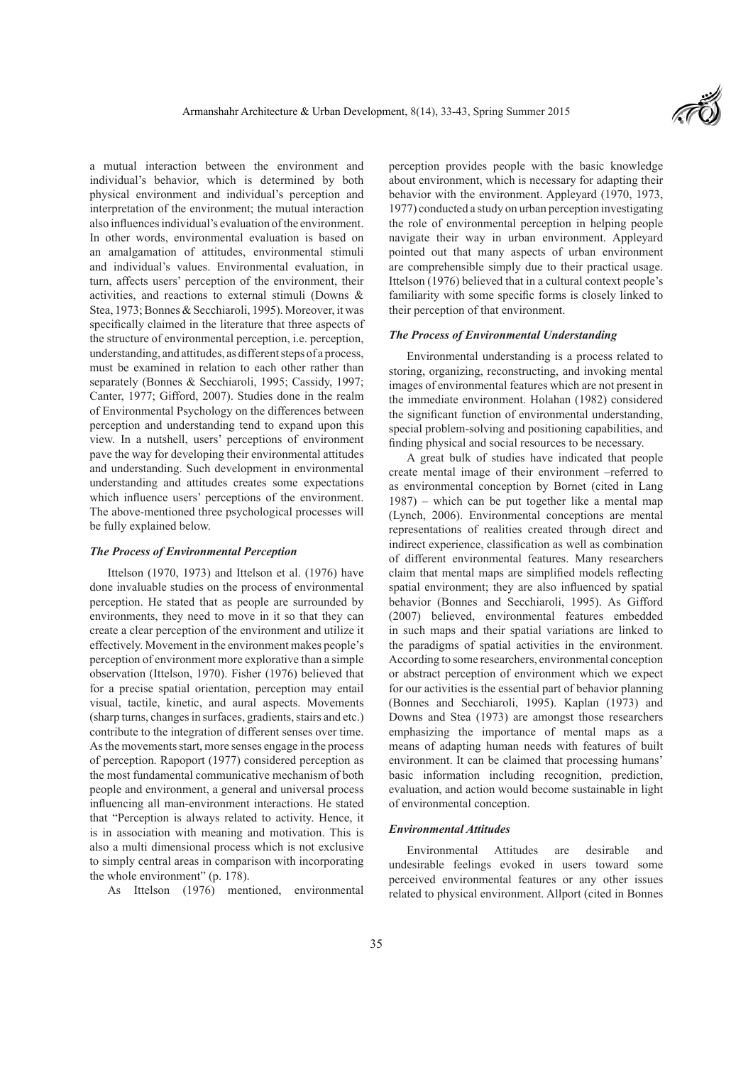

a mutual interaction between the environment and individual's behavior, which is determined by both physical environment and individual's perception and interpretation of the environment; the mutual interaction also influences individual's evaluation of the environment. In other words, environmental evaluation is based on an amalgamation of attitudes, environmental stimuli and individual's values. Environmental evaluation, in turn, affects users' perception of the environment, their activities, and reactions to external stimuli (Downs & Stea, 1973; Bonnes & Secchiaroli, 1995). Moreover, it was specifically claimed in the literature that three aspects of the structure of environmental perception, i.e. perception, understanding, and attitudes, as different steps of a process, must be examined in relation to each other rather than separately (Bonnes & Secchiaroli, 1995; Cassidy, 1997; Canter, 1977; Gifford, 2007). Studies done in the realm of Environmental Psychology on the differences between perception and understanding tend to expand upon this view. In a nutshell, users' perceptions of environment pave the way for developing their environmental attitudes and understanding. Such development in environmental understanding and attitudes creates some expectations which influence users' perceptions of the environment. The above-mentioned three psychological processes will be fully explained below.

### *The Process of Environmental Perception*

Ittelson (1970, 1973) and Ittelson et al. (1976) have done invaluable studies on the process of environmental perception. He stated that as people are surrounded by environments, they need to move in it so that they can create a clear perception of the environment and utilize it effectively. Movement in the environment makes people's perception of environment more explorative than a simple observation (Ittelson, 1970). Fisher (1976) believed that for a precise spatial orientation, perception may entail visual, tactile, kinetic, and aural aspects. Movements (sharp turns, changes in surfaces, gradients, stairs and etc.) contribute to the integration of different senses over time. As the movements start, more senses engage in the process of perception. Rapoport (1977) considered perception as the most fundamental communicative mechanism of both people and environment, a general and universal process influencing all man-environment interactions. He stated that "Perception is always related to activity. Hence, it is in association with meaning and motivation. This is also a multi dimensional process which is not exclusive to simply central areas in comparison with incorporating the whole environment" (p. 178).

As Ittelson (1976) mentioned, environmental

perception provides people with the basic knowledge about environment, which is necessary for adapting their behavior with the environment. Appleyard (1970, 1973, 1977) conducted a study on urban perception investigating the role of environmental perception in helping people navigate their way in urban environment. Appleyard pointed out that many aspects of urban environment are comprehensible simply due to their practical usage. Ittelson (1976) believed that in a cultural context people's familiarity with some specific forms is closely linked to their perception of that environment.

### *The Process of Environmental Understanding*

Environmental understanding is a process related to storing, organizing, reconstructing, and invoking mental images of environmental features which are not present in the immediate environment. Holahan (1982) considered the significant function of environmental understanding, special problem-solving and positioning capabilities, and finding physical and social resources to be necessary.

A great bulk of studies have indicated that people create mental image of their environment –referred to as environmental conception by Bornet (cited in Lang 1987) – which can be put together like a mental map (Lynch, 2006). Environmental conceptions are mental representations of realities created through direct and indirect experience, classification as well as combination of different environmental features. Many researchers claim that mental maps are simplified models reflecting spatial environment; they are also influenced by spatial behavior (Bonnes and Secchiaroli, 1995). As Gifford (2007) believed, environmental features embedded in such maps and their spatial variations are linked to the paradigms of spatial activities in the environment. According to some researchers, environmental conception or abstract perception of environment which we expect for our activities is the essential part of behavior planning (Bonnes and Secchiaroli, 1995). Kaplan (1973) and Downs and Stea (1973) are amongst those researchers emphasizing the importance of mental maps as a means of adapting human needs with features of built environment. It can be claimed that processing humans' basic information including recognition, prediction, evaluation, and action would become sustainable in light of environmental conception.

### *Environmental Attitudes*

Environmental Attitudes are desirable and undesirable feelings evoked in users toward some perceived environmental features or any other issues related to physical environment. Allport (cited in Bonnes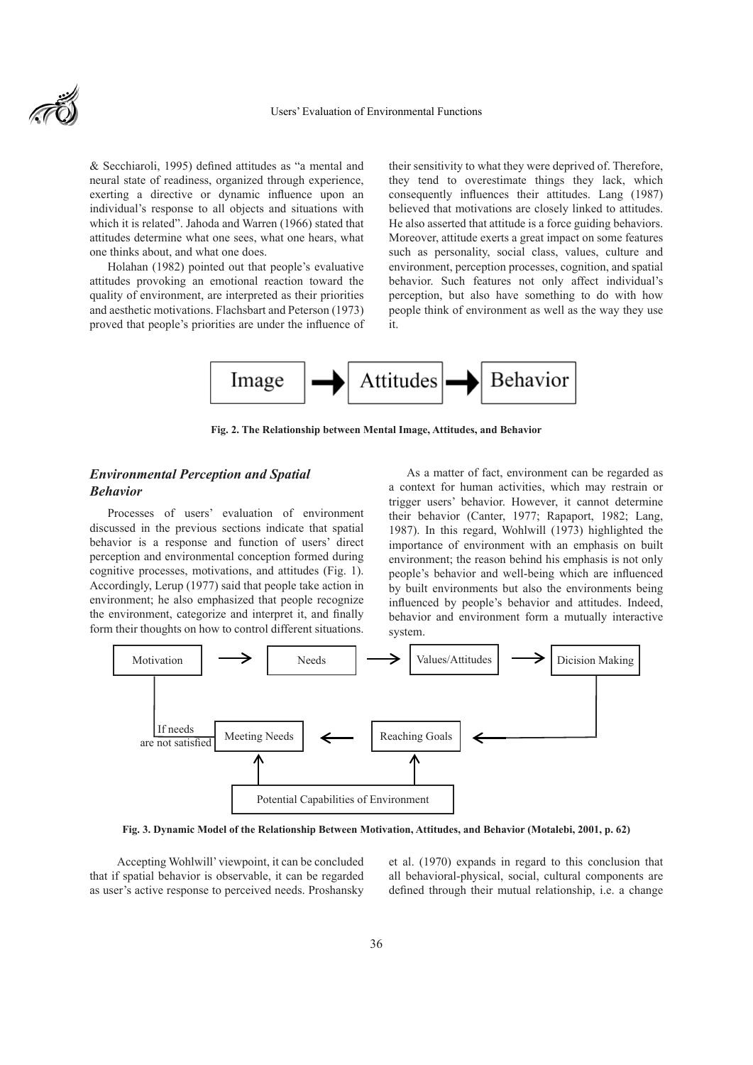

& Secchiaroli, 1995) defined attitudes as "a mental and neural state of readiness, organized through experience, exerting a directive or dynamic influence upon an individual's response to all objects and situations with which it is related". Jahoda and Warren (1966) stated that attitudes determine what one sees, what one hears, what one thinks about, and what one does.

Holahan (1982) pointed out that people's evaluative attitudes provoking an emotional reaction toward the quality of environment, are interpreted as their priorities and aesthetic motivations. Flachsbart and Peterson (1973) proved that people's priorities are under the influence of their sensitivity to what they were deprived of. Therefore, they tend to overestimate things they lack, which consequently influences their attitudes. Lang (1987) believed that motivations are closely linked to attitudes. He also asserted that attitude is a force guiding behaviors. Moreover, attitude exerts a great impact on some features such as personality, social class, values, culture and environment, perception processes, cognition, and spatial behavior. Such features not only affect individual's perception, but also have something to do with how people think of environment as well as the way they use it.



**Fig. 2. The Relationship between Mental Image, Attitudes, and Behavior**

# *Environmental Perception and Spatial Behavior*

Processes of users' evaluation of environment discussed in the previous sections indicate that spatial behavior is a response and function of users' direct perception and environmental conception formed during cognitive processes, motivations, and attitudes (Fig. 1). Accordingly, Lerup (1977) said that people take action in environment; he also emphasized that people recognize the environment, categorize and interpret it, and finally form their thoughts on how to control different situations.

As a matter of fact, environment can be regarded as a context for human activities, which may restrain or trigger users' behavior. However, it cannot determine their behavior (Canter, 1977; Rapaport, 1982; Lang, 1987). In this regard, Wohlwill (1973) highlighted the importance of environment with an emphasis on built environment; the reason behind his emphasis is not only people's behavior and well-being which are influenced by built environments but also the environments being influenced by people's behavior and attitudes. Indeed, behavior and environment form a mutually interactive system.



**Fig. 3. Dynamic Model of the Relationship Between Motivation, Attitudes, and Behavior (Motalebi, 2001, p. 62)**

 Accepting Wohlwill' viewpoint, it can be concluded that if spatial behavior is observable, it can be regarded as user's active response to perceived needs. Proshansky et al. (1970) expands in regard to this conclusion that all behavioral-physical, social, cultural components are defined through their mutual relationship, i.e. a change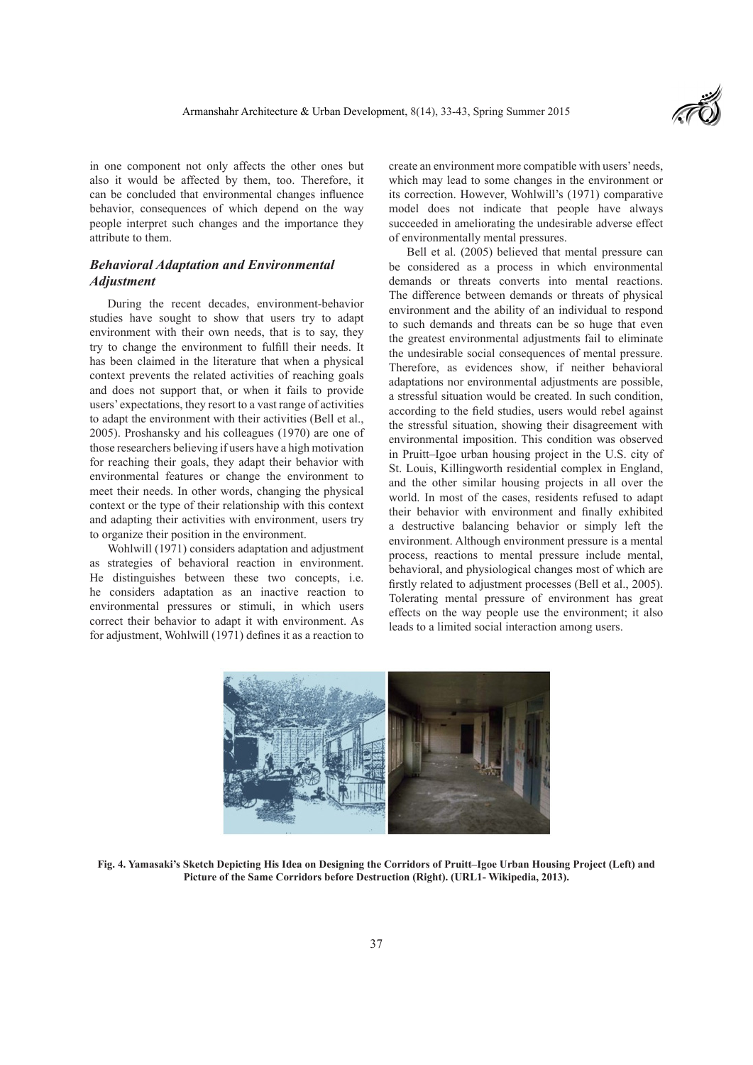

in one component not only affects the other ones but also it would be affected by them, too. Therefore, it can be concluded that environmental changes influence behavior, consequences of which depend on the way people interpret such changes and the importance they attribute to them.

# *Behavioral Adaptation and Environmental Adjustment*

During the recent decades, environment-behavior studies have sought to show that users try to adapt environment with their own needs, that is to say, they try to change the environment to fulfill their needs. It has been claimed in the literature that when a physical context prevents the related activities of reaching goals and does not support that, or when it fails to provide users' expectations, they resort to a vast range of activities to adapt the environment with their activities (Bell et al., 2005). Proshansky and his colleagues (1970) are one of those researchers believing if users have a high motivation for reaching their goals, they adapt their behavior with environmental features or change the environment to meet their needs. In other words, changing the physical context or the type of their relationship with this context and adapting their activities with environment, users try to organize their position in the environment.

Wohlwill (1971) considers adaptation and adjustment as strategies of behavioral reaction in environment. He distinguishes between these two concepts, i.e. he considers adaptation as an inactive reaction to environmental pressures or stimuli, in which users correct their behavior to adapt it with environment. As for adjustment, Wohlwill (1971) defines it as a reaction to create an environment more compatible with users' needs, which may lead to some changes in the environment or its correction. However, Wohlwill's (1971) comparative model does not indicate that people have always succeeded in ameliorating the undesirable adverse effect of environmentally mental pressures.

Bell et al. (2005) believed that mental pressure can be considered as a process in which environmental demands or threats converts into mental reactions. The difference between demands or threats of physical environment and the ability of an individual to respond to such demands and threats can be so huge that even the greatest environmental adjustments fail to eliminate the undesirable social consequences of mental pressure. Therefore, as evidences show, if neither behavioral adaptations nor environmental adjustments are possible, a stressful situation would be created. In such condition, according to the field studies, users would rebel against the stressful situation, showing their disagreement with environmental imposition. This condition was observed in Pruitt–Igoe urban housing project in the U.S. city of St. Louis, Killingworth residential complex in England, and the other similar housing projects in all over the world. In most of the cases, residents refused to adapt their behavior with environment and finally exhibited a destructive balancing behavior or simply left the environment. Although environment pressure is a mental process, reactions to mental pressure include mental, behavioral, and physiological changes most of which are firstly related to adjustment processes (Bell et al., 2005). Tolerating mental pressure of environment has great effects on the way people use the environment; it also leads to a limited social interaction among users.



**Fig. 4. Yamasaki's Sketch Depicting His Idea on Designing the Corridors of Pruitt–Igoe Urban Housing Project (Left) and Picture of the Same Corridors before Destruction (Right). (URL1- Wikipedia, 2013).**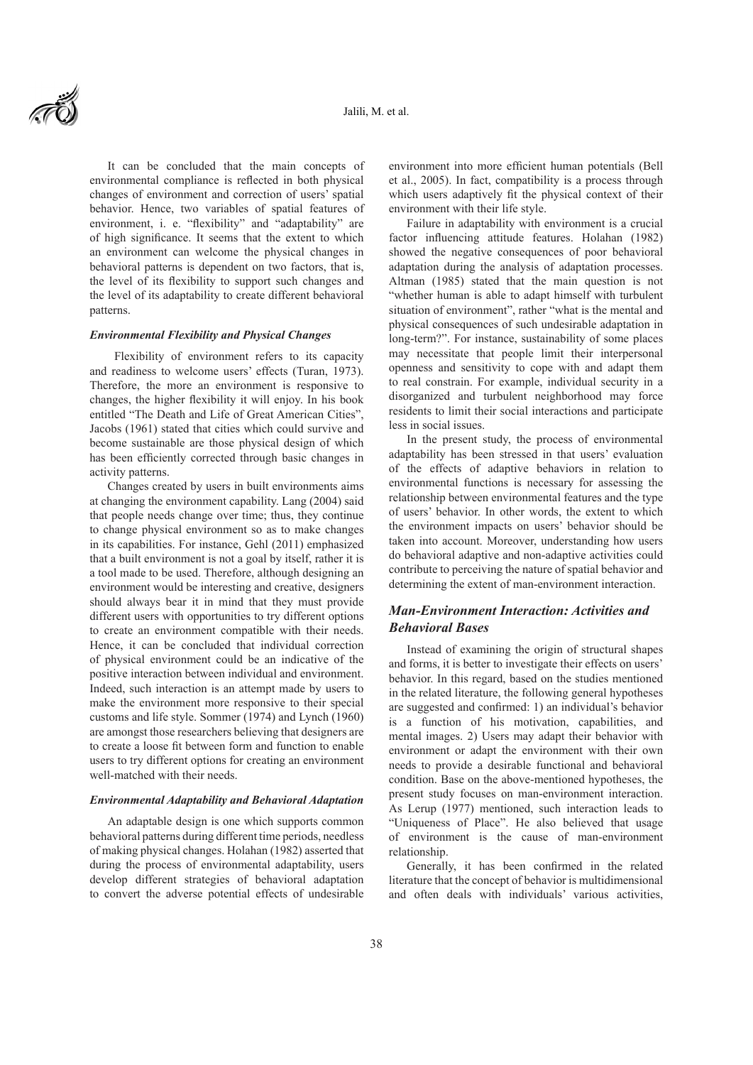

It can be concluded that the main concepts of environmental compliance is reflected in both physical changes of environment and correction of users' spatial behavior. Hence, two variables of spatial features of environment, i. e. "flexibility" and "adaptability" are of high significance. It seems that the extent to which an environment can welcome the physical changes in behavioral patterns is dependent on two factors, that is, the level of its flexibility to support such changes and the level of its adaptability to create different behavioral patterns.

#### *Environmental Flexibility and Physical Changes*

 Flexibility of environment refers to its capacity and readiness to welcome users' effects (Turan, 1973). Therefore, the more an environment is responsive to changes, the higher flexibility it will enjoy. In his book entitled "The Death and Life of Great American Cities", Jacobs (1961) stated that cities which could survive and become sustainable are those physical design of which has been efficiently corrected through basic changes in activity patterns.

Changes created by users in built environments aims at changing the environment capability. Lang (2004) said that people needs change over time; thus, they continue to change physical environment so as to make changes in its capabilities. For instance, Gehl (2011) emphasized that a built environment is not a goal by itself, rather it is a tool made to be used. Therefore, although designing an environment would be interesting and creative, designers should always bear it in mind that they must provide different users with opportunities to try different options to create an environment compatible with their needs. Hence, it can be concluded that individual correction of physical environment could be an indicative of the positive interaction between individual and environment. Indeed, such interaction is an attempt made by users to make the environment more responsive to their special customs and life style. Sommer (1974) and Lynch (1960) are amongst those researchers believing that designers are to create a loose fit between form and function to enable users to try different options for creating an environment well-matched with their needs.

#### *Environmental Adaptability and Behavioral Adaptation*

An adaptable design is one which supports common behavioral patterns during different time periods, needless of making physical changes. Holahan (1982) asserted that during the process of environmental adaptability, users develop different strategies of behavioral adaptation to convert the adverse potential effects of undesirable

environment into more efficient human potentials (Bell et al., 2005). In fact, compatibility is a process through which users adaptively fit the physical context of their environment with their life style.

Failure in adaptability with environment is a crucial factor influencing attitude features. Holahan (1982) showed the negative consequences of poor behavioral adaptation during the analysis of adaptation processes. Altman (1985) stated that the main question is not "whether human is able to adapt himself with turbulent situation of environment", rather "what is the mental and physical consequences of such undesirable adaptation in long-term?". For instance, sustainability of some places may necessitate that people limit their interpersonal openness and sensitivity to cope with and adapt them to real constrain. For example, individual security in a disorganized and turbulent neighborhood may force residents to limit their social interactions and participate less in social issues.

In the present study, the process of environmental adaptability has been stressed in that users' evaluation of the effects of adaptive behaviors in relation to environmental functions is necessary for assessing the relationship between environmental features and the type of users' behavior. In other words, the extent to which the environment impacts on users' behavior should be taken into account. Moreover, understanding how users do behavioral adaptive and non-adaptive activities could contribute to perceiving the nature of spatial behavior and determining the extent of man-environment interaction.

## *Man-Environment Interaction: Activities and Behavioral Bases*

Instead of examining the origin of structural shapes and forms, it is better to investigate their effects on users' behavior. In this regard, based on the studies mentioned in the related literature, the following general hypotheses are suggested and confirmed: 1) an individual's behavior is a function of his motivation, capabilities, and mental images. 2) Users may adapt their behavior with environment or adapt the environment with their own needs to provide a desirable functional and behavioral condition. Base on the above-mentioned hypotheses, the present study focuses on man-environment interaction. As Lerup (1977) mentioned, such interaction leads to "Uniqueness of Place". He also believed that usage of environment is the cause of man-environment relationship.

Generally, it has been confirmed in the related literature that the concept of behavior is multidimensional and often deals with individuals' various activities,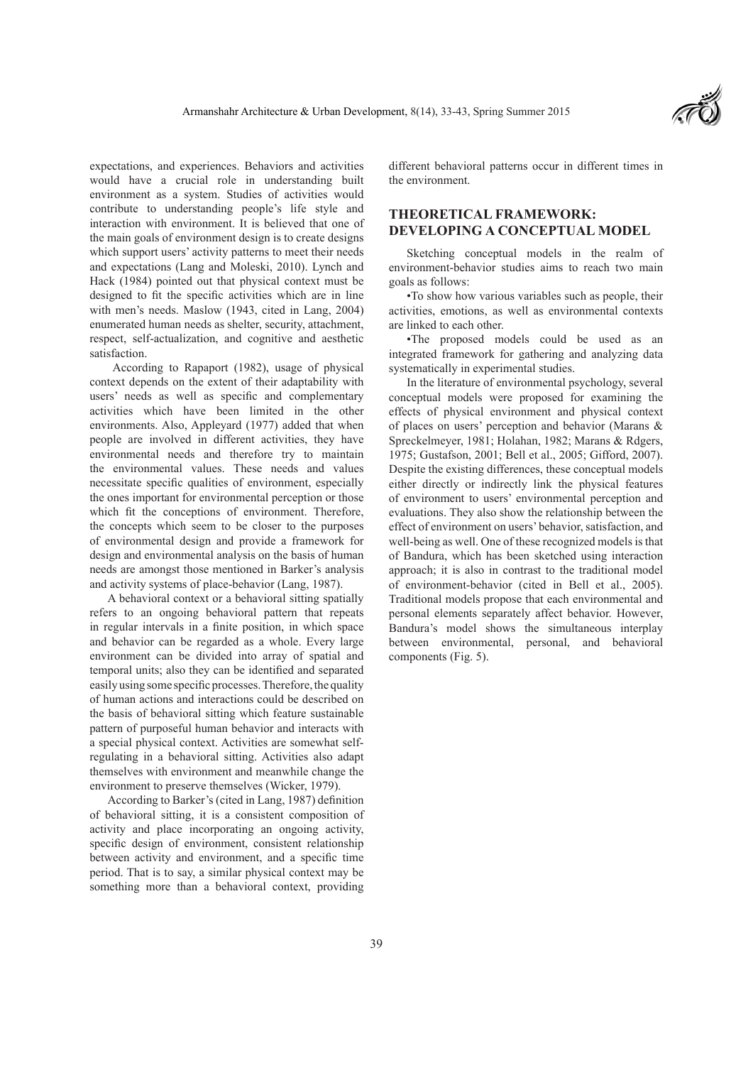expectations, and experiences. Behaviors and activities would have a crucial role in understanding built environment as a system. Studies of activities would contribute to understanding people's life style and interaction with environment. It is believed that one of the main goals of environment design is to create designs which support users' activity patterns to meet their needs and expectations (Lang and Moleski, 2010). Lynch and Hack (1984) pointed out that physical context must be designed to fit the specific activities which are in line with men's needs. Maslow (1943, cited in Lang, 2004) enumerated human needs as shelter, security, attachment, respect, self-actualization, and cognitive and aesthetic satisfaction.

 According to Rapaport (1982), usage of physical context depends on the extent of their adaptability with users' needs as well as specific and complementary activities which have been limited in the other environments. Also, Appleyard (1977) added that when people are involved in different activities, they have environmental needs and therefore try to maintain the environmental values. These needs and values necessitate specific qualities of environment, especially the ones important for environmental perception or those which fit the conceptions of environment. Therefore, the concepts which seem to be closer to the purposes of environmental design and provide a framework for design and environmental analysis on the basis of human needs are amongst those mentioned in Barker's analysis and activity systems of place-behavior (Lang, 1987).

A behavioral context or a behavioral sitting spatially refers to an ongoing behavioral pattern that repeats in regular intervals in a finite position, in which space and behavior can be regarded as a whole. Every large environment can be divided into array of spatial and temporal units; also they can be identified and separated easily using some specific processes. Therefore, the quality of human actions and interactions could be described on the basis of behavioral sitting which feature sustainable pattern of purposeful human behavior and interacts with a special physical context. Activities are somewhat selfregulating in a behavioral sitting. Activities also adapt themselves with environment and meanwhile change the environment to preserve themselves (Wicker, 1979).

According to Barker's (cited in Lang, 1987) definition of behavioral sitting, it is a consistent composition of activity and place incorporating an ongoing activity, specific design of environment, consistent relationship between activity and environment, and a specific time period. That is to say, a similar physical context may be something more than a behavioral context, providing

different behavioral patterns occur in different times in the environment.

# **THEORETICAL FRAMEWORK: DEVELOPING A CONCEPTUAL MODEL**

Sketching conceptual models in the realm of environment-behavior studies aims to reach two main goals as follows:

•To show how various variables such as people, their activities, emotions, as well as environmental contexts are linked to each other.

•The proposed models could be used as an integrated framework for gathering and analyzing data systematically in experimental studies.

In the literature of environmental psychology, several conceptual models were proposed for examining the effects of physical environment and physical context of places on users' perception and behavior (Marans & Spreckelmeyer, 1981; Holahan, 1982; Marans & Rdgers, 1975; Gustafson, 2001; Bell et al., 2005; Gifford, 2007). Despite the existing differences, these conceptual models either directly or indirectly link the physical features of environment to users' environmental perception and evaluations. They also show the relationship between the effect of environment on users' behavior, satisfaction, and well-being as well. One of these recognized models is that of Bandura, which has been sketched using interaction approach; it is also in contrast to the traditional model of environment-behavior (cited in Bell et al., 2005). Traditional models propose that each environmental and personal elements separately affect behavior. However, Bandura's model shows the simultaneous interplay between environmental, personal, and behavioral components (Fig. 5).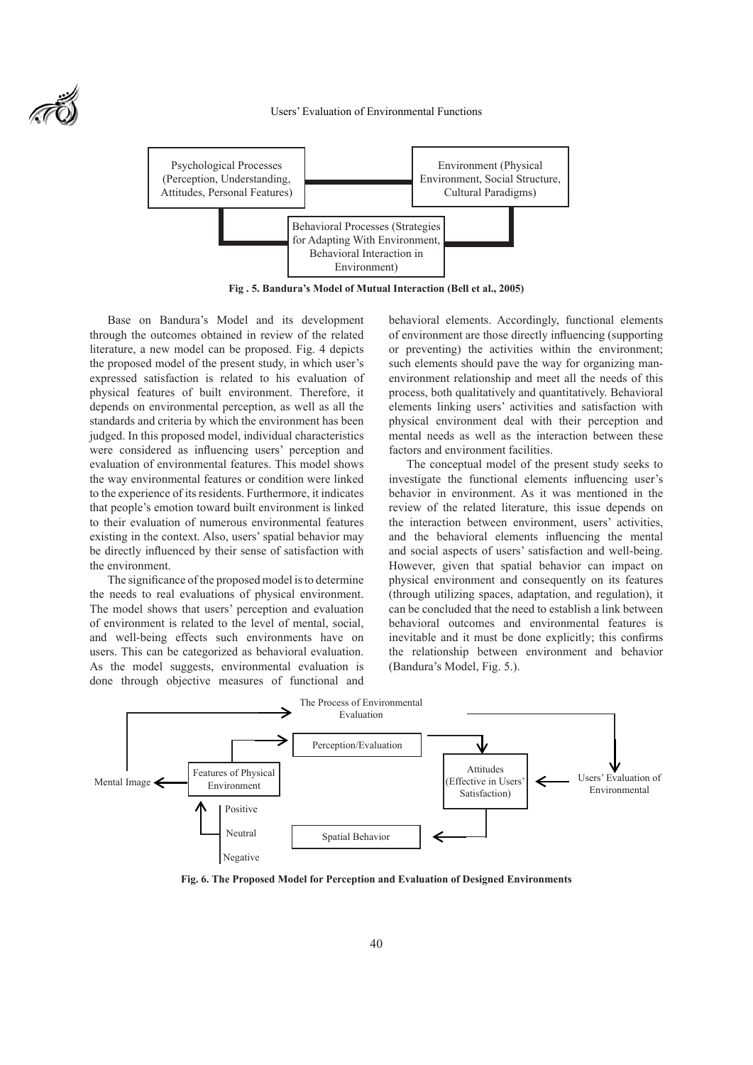Users' Evaluation of Environmental Functions



**Fig . 5. Bandura's Model of Mutual Interaction (Bell et al., 2005)**

Base on Bandura's Model and its development through the outcomes obtained in review of the related literature, a new model can be proposed. Fig. 4 depicts the proposed model of the present study, in which user's expressed satisfaction is related to his evaluation of physical features of built environment. Therefore, it depends on environmental perception, as well as all the standards and criteria by which the environment has been judged. In this proposed model, individual characteristics were considered as influencing users' perception and evaluation of environmental features. This model shows the way environmental features or condition were linked to the experience of its residents. Furthermore, it indicates that people's emotion toward built environment is linked to their evaluation of numerous environmental features existing in the context. Also, users' spatial behavior may be directly influenced by their sense of satisfaction with the environment.

The significance of the proposed model is to determine the needs to real evaluations of physical environment. The model shows that users' perception and evaluation of environment is related to the level of mental, social, and well-being effects such environments have on users. This can be categorized as behavioral evaluation. As the model suggests, environmental evaluation is done through objective measures of functional and behavioral elements. Accordingly, functional elements of environment are those directly influencing (supporting or preventing) the activities within the environment; such elements should pave the way for organizing manenvironment relationship and meet all the needs of this process, both qualitatively and quantitatively. Behavioral elements linking users' activities and satisfaction with physical environment deal with their perception and mental needs as well as the interaction between these factors and environment facilities.

The conceptual model of the present study seeks to investigate the functional elements influencing user's behavior in environment. As it was mentioned in the review of the related literature, this issue depends on the interaction between environment, users' activities, and the behavioral elements influencing the mental and social aspects of users' satisfaction and well-being. However, given that spatial behavior can impact on physical environment and consequently on its features (through utilizing spaces, adaptation, and regulation), it can be concluded that the need to establish a link between behavioral outcomes and environmental features is inevitable and it must be done explicitly; this confirms the relationship between environment and behavior (Bandura's Model, Fig. 5.).



**Fig. 6. The Proposed Model for Perception and Evaluation of Designed Environments**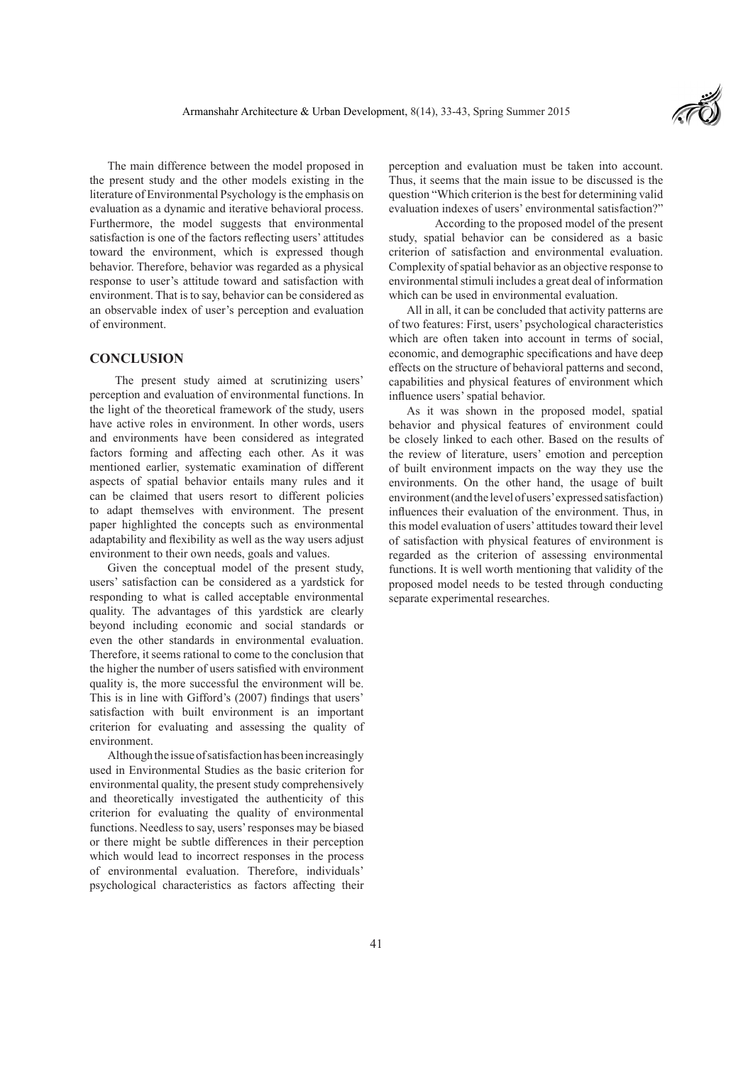

The main difference between the model proposed in the present study and the other models existing in the literature of Environmental Psychology is the emphasis on evaluation as a dynamic and iterative behavioral process. Furthermore, the model suggests that environmental satisfaction is one of the factors reflecting users' attitudes toward the environment, which is expressed though behavior. Therefore, behavior was regarded as a physical response to user's attitude toward and satisfaction with environment. That is to say, behavior can be considered as an observable index of user's perception and evaluation of environment.

### **CONCLUSION**

 The present study aimed at scrutinizing users' perception and evaluation of environmental functions. In the light of the theoretical framework of the study, users have active roles in environment. In other words, users and environments have been considered as integrated factors forming and affecting each other. As it was mentioned earlier, systematic examination of different aspects of spatial behavior entails many rules and it can be claimed that users resort to different policies to adapt themselves with environment. The present paper highlighted the concepts such as environmental adaptability and flexibility as well as the way users adjust environment to their own needs, goals and values.

Given the conceptual model of the present study, users' satisfaction can be considered as a yardstick for responding to what is called acceptable environmental quality. The advantages of this yardstick are clearly beyond including economic and social standards or even the other standards in environmental evaluation. Therefore, it seems rational to come to the conclusion that the higher the number of users satisfied with environment quality is, the more successful the environment will be. This is in line with Gifford's (2007) findings that users' satisfaction with built environment is an important criterion for evaluating and assessing the quality of environment.

Although the issue of satisfaction has been increasingly used in Environmental Studies as the basic criterion for environmental quality, the present study comprehensively and theoretically investigated the authenticity of this criterion for evaluating the quality of environmental functions. Needless to say, users' responses may be biased or there might be subtle differences in their perception which would lead to incorrect responses in the process of environmental evaluation. Therefore, individuals' psychological characteristics as factors affecting their perception and evaluation must be taken into account. Thus, it seems that the main issue to be discussed is the question "Which criterion is the best for determining valid evaluation indexes of users' environmental satisfaction?"

 According to the proposed model of the present study, spatial behavior can be considered as a basic criterion of satisfaction and environmental evaluation. Complexity of spatial behavior as an objective response to environmental stimuli includes a great deal of information which can be used in environmental evaluation.

All in all, it can be concluded that activity patterns are of two features: First, users' psychological characteristics which are often taken into account in terms of social, economic, and demographic specifications and have deep effects on the structure of behavioral patterns and second, capabilities and physical features of environment which influence users' spatial behavior.

As it was shown in the proposed model, spatial behavior and physical features of environment could be closely linked to each other. Based on the results of the review of literature, users' emotion and perception of built environment impacts on the way they use the environments. On the other hand, the usage of built environment (and the level of users' expressed satisfaction) influences their evaluation of the environment. Thus, in this model evaluation of users' attitudes toward their level of satisfaction with physical features of environment is regarded as the criterion of assessing environmental functions. It is well worth mentioning that validity of the proposed model needs to be tested through conducting separate experimental researches.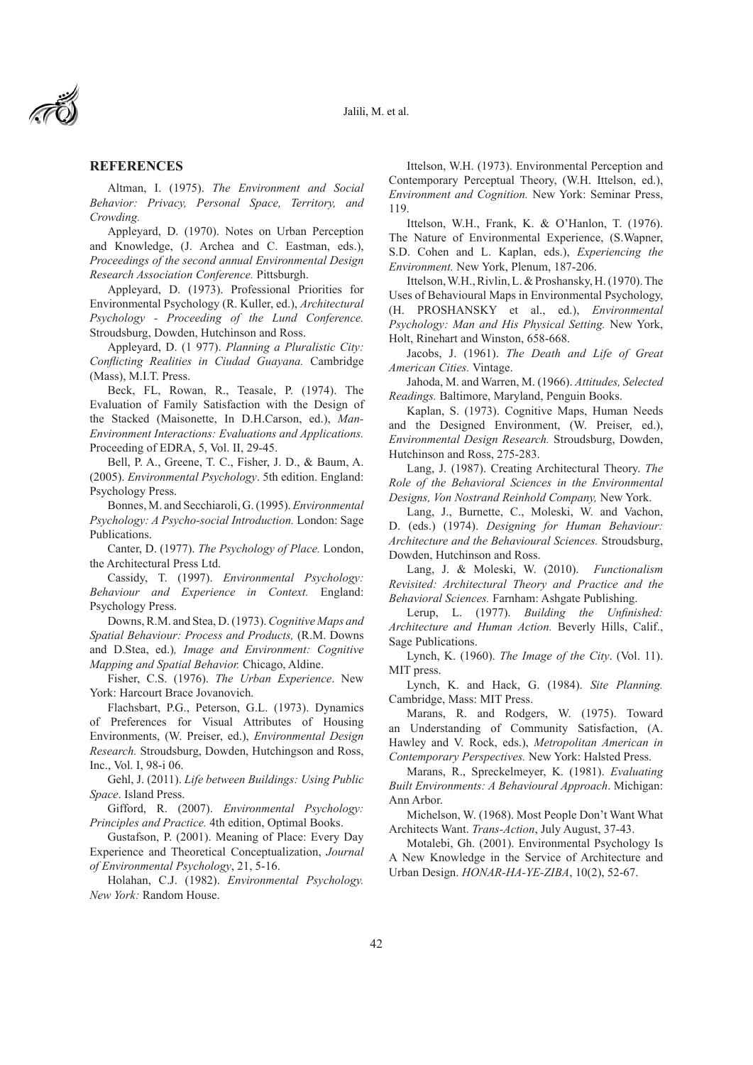

### **REFERENCES**

Altman, I. (1975). *The Environment and Social Behavior: Privacy, Personal Space, Territory, and Crowding.*

Appleyard, D. (1970). Notes on Urban Perception and Knowledge, (J. Archea and C. Eastman, eds.), *Proceedings of the second annual Environmental Design Research Association Conference.* Pittsburgh.

Appleyard, D. (1973). Professional Priorities for Environmental Psychology (R. Kuller, ed.), *Architectural Psychology - Proceeding of the Lund Conference.*  Stroudsburg, Dowden, Hutchinson and Ross.

Appleyard, D. (1 977). *Planning a Pluralistic City: Conflicting Realities in Ciudad Guayana.* Cambridge (Mass), M.I.T. Press.

Beck, FL, Rowan, R., Teasale, P. (1974). The Evaluation of Family Satisfaction with the Design of the Stacked (Maisonette, In D.H.Carson, ed.), *Man-Environment Interactions: Evaluations and Applications.*  Proceeding of EDRA, 5, Vol. II, 29-45.

Bell, P. A., Greene, T. C., Fisher, J. D., & Baum, A. (2005). *Environmental Psychology*. 5th edition. England: Psychology Press.

Bonnes, M. and Secchiaroli, G. (1995). *Environmental Psychology: A Psycho-social Introduction.* London: Sage Publications.

Canter, D. (1977). *The Psychology of Place.* London, the Architectural Press Ltd.

Cassidy, T. (1997). *Environmental Psychology: Behaviour and Experience in Context.* England: Psychology Press.

Downs, R.M. and Stea, D. (1973). *Cognitive Maps and Spatial Behaviour: Process and Products,* (R.M. Downs and D.Stea, ed.)*, Image and Environment: Cognitive Mapping and Spatial Behavior.* Chicago, Aldine.

Fisher, C.S. (1976). *The Urban Experience*. New York: Harcourt Brace Jovanovich.

Flachsbart, P.G., Peterson, G.L. (1973). Dynamics of Preferences for Visual Attributes of Housing Environments, (W. Preiser, ed.), *Environmental Design Research.* Stroudsburg, Dowden, Hutchingson and Ross, Inc., Vol. I, 98-i 06.

Gehl, J. (2011). *Life between Buildings: Using Public Space*. Island Press.

Gifford, R. (2007). *Environmental Psychology: Principles and Practice.* 4th edition, Optimal Books.

Gustafson, P. (2001). Meaning of Place: Every Day Experience and Theoretical Conceptualization, *Journal of Environmental Psychology*, 21, 5-16.

Holahan, C.J. (1982). *Environmental Psychology. New York:* Random House.

Ittelson, W.H. (1973). Environmental Perception and Contemporary Perceptual Theory, (W.H. Ittelson, ed.), *Environment and Cognition.* New York: Seminar Press, 119.

Ittelson, W.H., Frank, K. & O'Hanlon, T. (1976). The Nature of Environmental Experience, (S.Wapner, S.D. Cohen and L. Kaplan, eds.), *Experiencing the Environment.* New York, Plenum, 187-206.

Ittelson, W.H., Rivlin, L. & Proshansky, H. (1970). The Uses of Behavioural Maps in Environmental Psychology, (H. PROSHANSKY et al., ed.), *Environmental Psychology: Man and His Physical Setting.* New York, Holt, Rinehart and Winston, 658-668.

Jacobs, J. (1961). *The Death and Life of Great American Cities.* Vintage.

Jahoda, M. and Warren, M. (1966). *Attitudes, Selected Readings.* Baltimore, Maryland, Penguin Books.

Kaplan, S. (1973). Cognitive Maps, Human Needs and the Designed Environment, (W. Preiser, ed.), *Environmental Design Research.* Stroudsburg, Dowden, Hutchinson and Ross, 275-283.

Lang, J. (1987). Creating Architectural Theory. *The Role of the Behavioral Sciences in the Environmental Designs, Von Nostrand Reinhold Company,* New York.

Lang, J., Burnette, C., Moleski, W. and Vachon, D. (eds.) (1974). *Designing for Human Behaviour: Architecture and the Behavioural Sciences.* Stroudsburg, Dowden, Hutchinson and Ross.

Lang, J. & Moleski, W. (2010). *Functionalism Revisited: Architectural Theory and Practice and the Behavioral Sciences.* Farnham: Ashgate Publishing.

Lerup, L. (1977). *Building the Unfinished: Architecture and Human Action.* Beverly Hills, Calif., Sage Publications.

Lynch, K. (1960). *The Image of the City*. (Vol. 11). MIT press.

Lynch, K. and Hack, G. (1984). *Site Planning.*  Cambridge, Mass: MIT Press.

Marans, R. and Rodgers, W. (1975). Toward an Understanding of Community Satisfaction, (A. Hawley and V. Rock, eds.), *Metropolitan American in Contemporary Perspectives.* New York: Halsted Press.

Marans, R., Spreckelmeyer, K. (1981). *Evaluating Built Environments: A Behavioural Approach*. Michigan: Ann Arbor.

Michelson, W. (1968). Most People Don't Want What Architects Want. *Trans-Action*, July August, 37-43.

Motalebi, Gh. (2001). Environmental Psychology Is A New Knowledge in the Service of Architecture and Urban Design. *HONAR-HA-YE-ZIBA*, 10(2), 52-67.